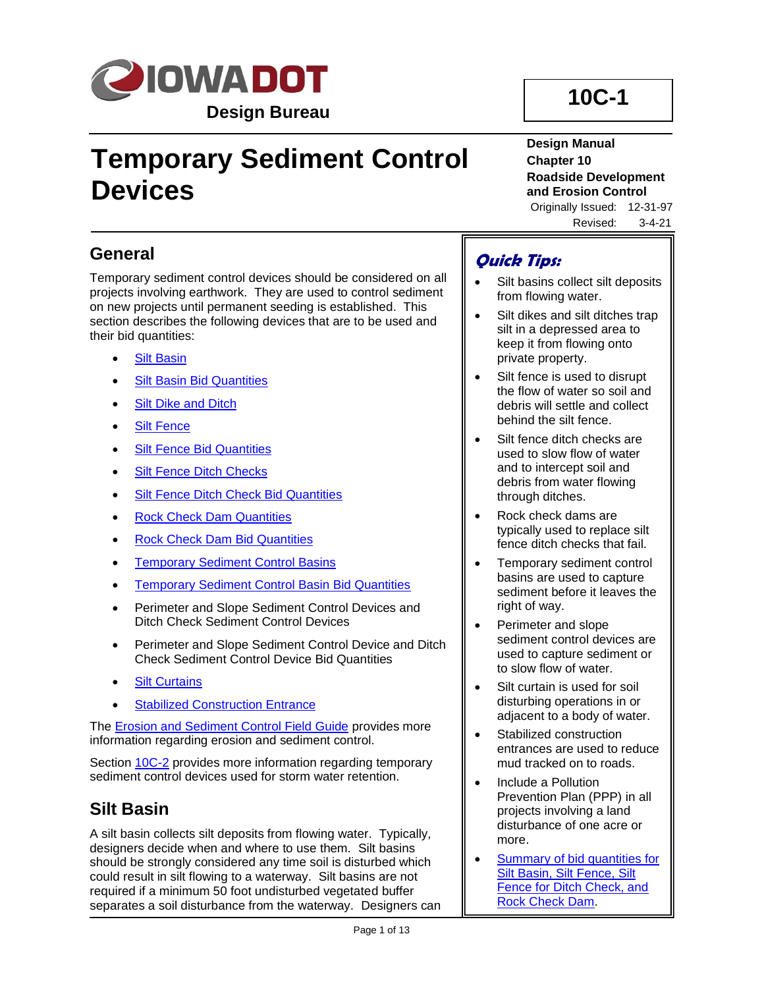

# **Temporary Sediment Control Devices**

# **10C-1**

**Design Manual Chapter 10 Roadside Development and Erosion Control** Originally Issued: 12-31-97

Revised: 3-4-21

# **General**

Temporary sediment control devices should be considered on all projects involving earthwork. They are used to control sediment on new projects until permanent seeding is established. This section describes the following devices that are to be used and their bid quantities:

- **[Silt Basin](#page-0-0)**
- **[Silt Basin Bid Quantities](#page-1-0)**
- **[Silt Dike and Ditch](#page-2-0)**
- [Silt Fence](#page-2-1)
- **[Silt Fence Bid Quantities](#page-3-0)**
- **Silt Fence [Ditch Checks](#page-5-0)**
- **[Silt Fence Ditch Check Bid Quantities](#page-5-1)**
- [Rock Check Dam Quantities](#page-6-0)
- [Rock Check Dam Bid Quantities](#page-7-0)
- **[Temporary Sediment Control Basins](#page-8-0)**
- **[Temporary Sediment Control Basin Bid Quantities](#page-8-1)**
- Perimeter and Slope Sediment Control Devices and Ditch Check Sediment Control Devices
- Perimeter and Slope Sediment Control Device and Ditch Check Sediment Control Device Bid Quantities
- **[Silt Curtains](#page-10-0)**
- **[Stabilized Construction Entrance](#page-11-0)**

The **Erosion and Sediment Control Field Guide** provides more information regarding erosion and sediment control.

Section [10C-2](10C-02.pdf) provides more information regarding temporary sediment control devices used for storm water retention.

# <span id="page-0-0"></span>**Silt Basin**

A silt basin collects silt deposits from flowing water. Typically, designers decide when and where to use them. Silt basins should be strongly considered any time soil is disturbed which could result in silt flowing to a waterway. Silt basins are not required if a minimum 50 foot undisturbed vegetated buffer separates a soil disturbance from the waterway. Designers can

# **Quick Tips:**

- Silt basins collect silt deposits from flowing water.
- Silt dikes and silt ditches trap silt in a depressed area to keep it from flowing onto private property.
- Silt fence is used to disrupt the flow of water so soil and debris will settle and collect behind the silt fence.
- Silt fence ditch checks are used to slow flow of water and to intercept soil and debris from water flowing through ditches.
- Rock check dams are typically used to replace silt fence ditch checks that fail.
- Temporary sediment control basins are used to capture sediment before it leaves the right of way.
- Perimeter and slope sediment control devices are used to capture sediment or to slow flow of water.
- Silt curtain is used for soil disturbing operations in or adjacent to a body of water.
- Stabilized construction entrances are used to reduce mud tracked on to roads.
- Include a Pollution Prevention Plan (PPP) in all projects involving a land disturbance of one acre or more.
- Summary of bid quantities for [Silt Basin, Silt Fence, Silt](10c-01/BidItemSummaryTable.pdf)  [Fence for Ditch Check, and](10c-01/BidItemSummaryTable.pdf)  [Rock Check Dam.](10c-01/BidItemSummaryTable.pdf)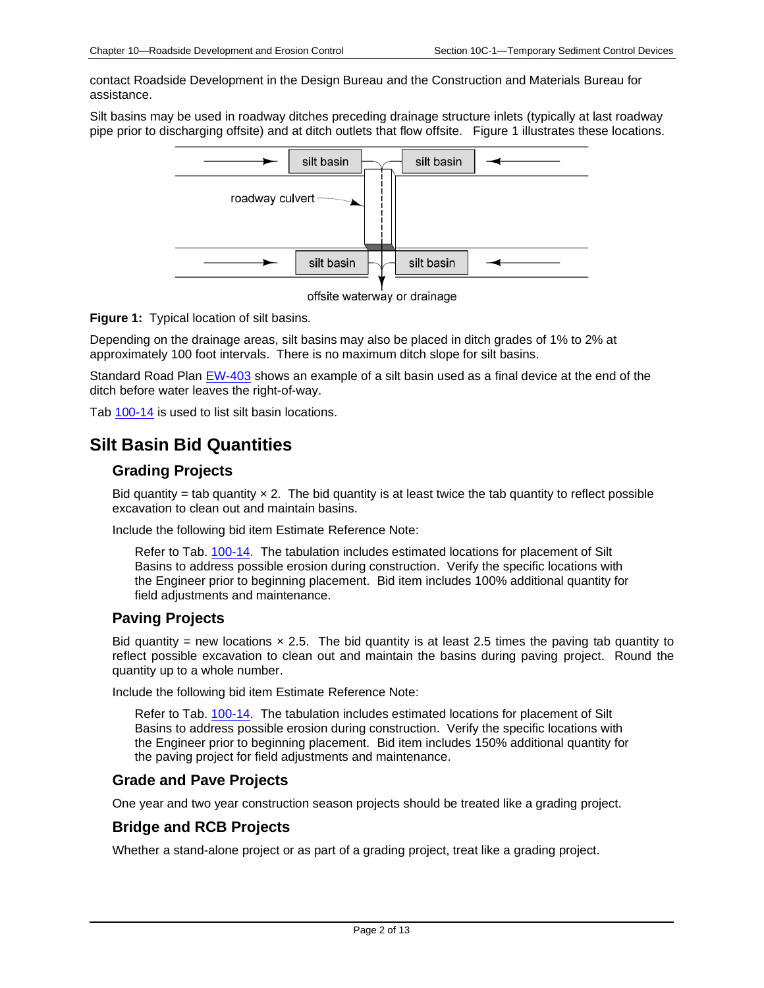contact Roadside Development in the Design Bureau and the Construction and Materials Bureau for assistance.

Silt basins may be used in roadway ditches preceding drainage structure inlets (typically at last roadway pipe prior to discharging offsite) and at ditch outlets that flow offsite. Figure 1 illustrates these locations.



offsite waterway or drainage

**Figure 1:** Typical location of silt basins.

Depending on the drainage areas, silt basins may also be placed in ditch grades of 1% to 2% at approximately 100 foot intervals. There is no maximum ditch slope for silt basins.

Standard Road Plan [EW-403](../SRP/IndividualStandards/ew403.pdf) shows an example of a silt basin used as a final device at the end of the ditch before water leaves the right-of-way.

Tab [100-14](../tnt/PDFsandWebFiles/IndividualPDFs/0100-14.PDF) is used to list silt basin locations.

# <span id="page-1-0"></span>**Silt Basin Bid Quantities**

## **Grading Projects**

Bid quantity = tab quantity  $\times$  2. The bid quantity is at least twice the tab quantity to reflect possible excavation to clean out and maintain basins.

Include the following bid item Estimate Reference Note:

Refer to Tab. [100-14.](../tnt/PDFsandWebFiles/IndividualPDFs/0100-14.PDF) The tabulation includes estimated locations for placement of Silt Basins to address possible erosion during construction. Verify the specific locations with the Engineer prior to beginning placement. Bid item includes 100% additional quantity for field adjustments and maintenance.

# **Paving Projects**

Bid quantity = new locations  $\times$  2.5. The bid quantity is at least 2.5 times the paving tab quantity to reflect possible excavation to clean out and maintain the basins during paving project. Round the quantity up to a whole number.

Include the following bid item Estimate Reference Note:

Refer to Tab. [100-14.](../tnt/PDFsandWebFiles/IndividualPDFs/0100-14.PDF) The tabulation includes estimated locations for placement of Silt Basins to address possible erosion during construction. Verify the specific locations with the Engineer prior to beginning placement. Bid item includes 150% additional quantity for the paving project for field adjustments and maintenance.

## **Grade and Pave Projects**

One year and two year construction season projects should be treated like a grading project.

# **Bridge and RCB Projects**

Whether a stand-alone project or as part of a grading project, treat like a grading project.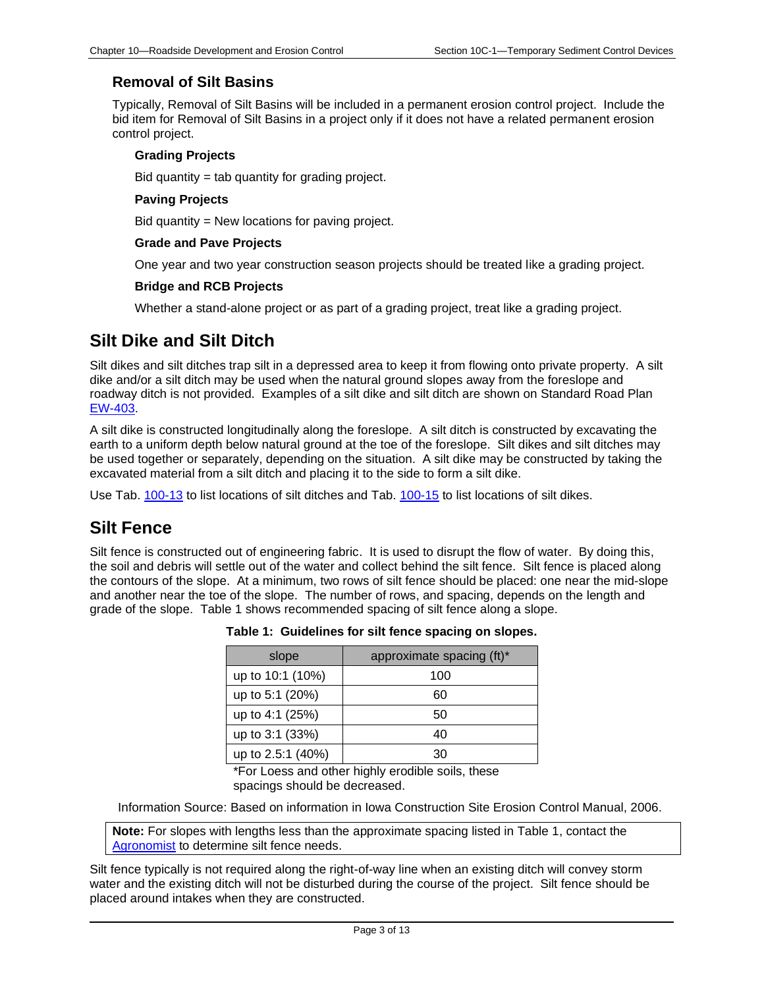# **Removal of Silt Basins**

Typically, Removal of Silt Basins will be included in a permanent erosion control project. Include the bid item for Removal of Silt Basins in a project only if it does not have a related permanent erosion control project.

### **Grading Projects**

Bid quantity = tab quantity for grading project.

## **Paving Projects**

Bid quantity = New locations for paving project.

## **Grade and Pave Projects**

One year and two year construction season projects should be treated like a grading project.

## **Bridge and RCB Projects**

Whether a stand-alone project or as part of a grading project, treat like a grading project.

# <span id="page-2-0"></span>**Silt Dike and Silt Ditch**

Silt dikes and silt ditches trap silt in a depressed area to keep it from flowing onto private property. A silt dike and/or a silt ditch may be used when the natural ground slopes away from the foreslope and roadway ditch is not provided. Examples of a silt dike and silt ditch are shown on Standard Road Plan [EW-403.](../SRP/IndividualStandards/ew403.pdf)

A silt dike is constructed longitudinally along the foreslope. A silt ditch is constructed by excavating the earth to a uniform depth below natural ground at the toe of the foreslope. Silt dikes and silt ditches may be used together or separately, depending on the situation. A silt dike may be constructed by taking the excavated material from a silt ditch and placing it to the side to form a silt dike.

Use Tab. [100-13](../tnt/PDFsandWebFiles/IndividualPDFs/0100-13.PDF) to list locations of silt ditches and Tab. [100-15](../tnt/PDFsandWebFiles/IndividualPDFs/0100-15.PDF) to list locations of silt dikes.

# <span id="page-2-1"></span>**Silt Fence**

Silt fence is constructed out of engineering fabric. It is used to disrupt the flow of water. By doing this, the soil and debris will settle out of the water and collect behind the silt fence. Silt fence is placed along the contours of the slope. At a minimum, two rows of silt fence should be placed: one near the mid-slope and another near the toe of the slope. The number of rows, and spacing, depends on the length and grade of the slope. Table 1 shows recommended spacing of silt fence along a slope.

| slope             | approximate spacing (ft)* |
|-------------------|---------------------------|
| up to 10:1 (10%)  | 100                       |
| up to 5:1 (20%)   | 60                        |
| up to 4:1 (25%)   | 50                        |
| up to 3:1 (33%)   | 40                        |
| up to 2.5:1 (40%) | חצ                        |

**Table 1: Guidelines for silt fence spacing on slopes.**

\*For Loess and other highly erodible soils, these spacings should be decreased.

Information Source: Based on information in Iowa Construction Site Erosion Control Manual, 2006.

**Note:** For slopes with lengths less than the approximate spacing listed in Table 1, contact the [Agronomist](01B-02/Agronomist.pdf) to determine silt fence needs.

Silt fence typically is not required along the right-of-way line when an existing ditch will convey storm water and the existing ditch will not be disturbed during the course of the project. Silt fence should be placed around intakes when they are constructed.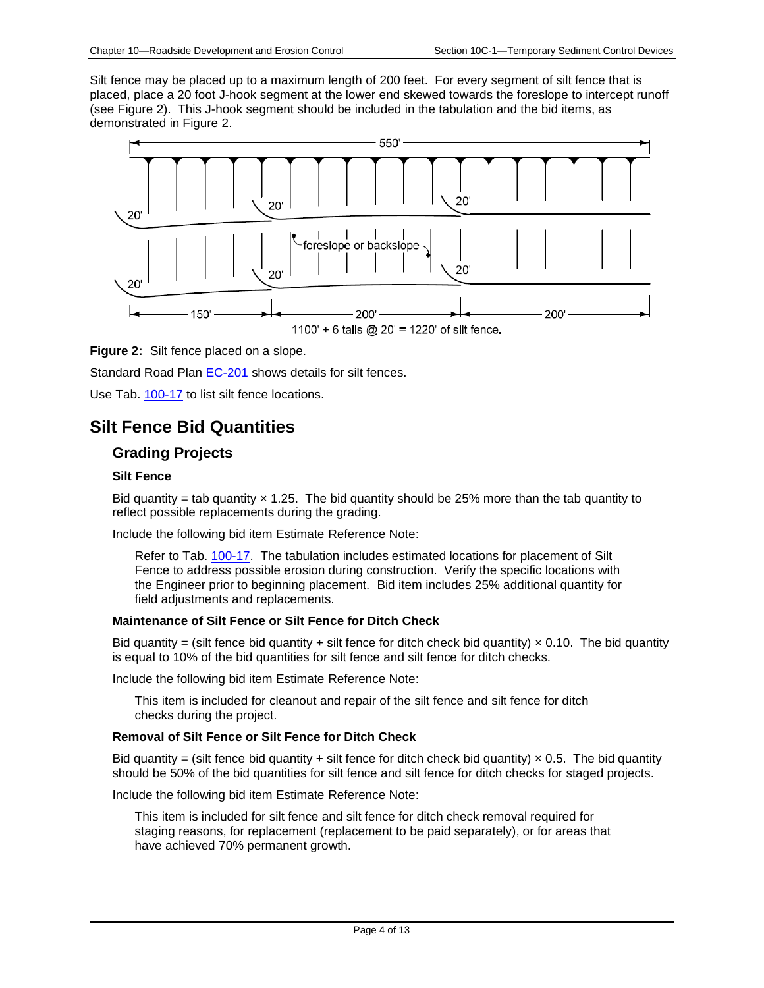Silt fence may be placed up to a maximum length of 200 feet. For every segment of silt fence that is placed, place a 20 foot J-hook segment at the lower end skewed towards the foreslope to intercept runoff (see Figure 2). This J-hook segment should be included in the tabulation and the bid items, as demonstrated in Figure 2.



## **Figure 2:** Silt fence placed on a slope.

Standard Road Plan [EC-201](../SRP/IndividualStandards/ec201.pdf) shows details for silt fences.

Use Tab. [100-17](../tnt/PDFsandWebFiles/IndividualPDFs/0100-17.PDF) to list silt fence locations.

# <span id="page-3-0"></span>**Silt Fence Bid Quantities**

## **Grading Projects**

#### **Silt Fence**

Bid quantity = tab quantity  $\times$  1.25. The bid quantity should be 25% more than the tab quantity to reflect possible replacements during the grading.

Include the following bid item Estimate Reference Note:

Refer to Tab. [100-17.](../tnt/PDFsandWebFiles/IndividualPDFs/0100-17.PDF) The tabulation includes estimated locations for placement of Silt Fence to address possible erosion during construction. Verify the specific locations with the Engineer prior to beginning placement. Bid item includes 25% additional quantity for field adjustments and replacements.

#### **Maintenance of Silt Fence or Silt Fence for Ditch Check**

Bid quantity = (silt fence bid quantity + silt fence for ditch check bid quantity)  $\times$  0.10. The bid quantity is equal to 10% of the bid quantities for silt fence and silt fence for ditch checks.

Include the following bid item Estimate Reference Note:

This item is included for cleanout and repair of the silt fence and silt fence for ditch checks during the project.

#### **Removal of Silt Fence or Silt Fence for Ditch Check**

Bid quantity = (silt fence bid quantity + silt fence for ditch check bid quantity)  $\times$  0.5. The bid quantity should be 50% of the bid quantities for silt fence and silt fence for ditch checks for staged projects.

Include the following bid item Estimate Reference Note:

This item is included for silt fence and silt fence for ditch check removal required for staging reasons, for replacement (replacement to be paid separately), or for areas that have achieved 70% permanent growth.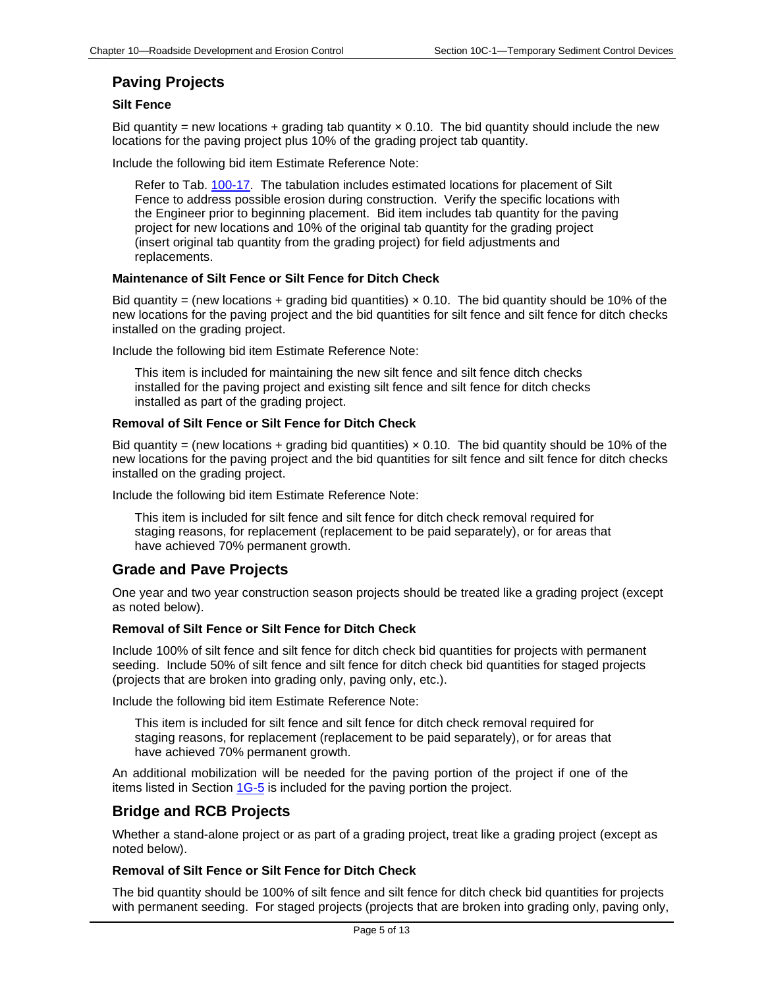# **Paving Projects**

## **Silt Fence**

Bid quantity = new locations + grading tab quantity  $\times$  0.10. The bid quantity should include the new locations for the paving project plus 10% of the grading project tab quantity.

Include the following bid item Estimate Reference Note:

Refer to Tab. [100-17.](../tnt/PDFsandWebFiles/IndividualPDFs/0100-17.PDF) The tabulation includes estimated locations for placement of Silt Fence to address possible erosion during construction. Verify the specific locations with the Engineer prior to beginning placement. Bid item includes tab quantity for the paving project for new locations and 10% of the original tab quantity for the grading project (insert original tab quantity from the grading project) for field adjustments and replacements.

#### **Maintenance of Silt Fence or Silt Fence for Ditch Check**

Bid quantity = (new locations + grading bid quantities)  $\times$  0.10. The bid quantity should be 10% of the new locations for the paving project and the bid quantities for silt fence and silt fence for ditch checks installed on the grading project.

Include the following bid item Estimate Reference Note:

This item is included for maintaining the new silt fence and silt fence ditch checks installed for the paving project and existing silt fence and silt fence for ditch checks installed as part of the grading project.

#### **Removal of Silt Fence or Silt Fence for Ditch Check**

Bid quantity = (new locations + grading bid quantities)  $\times$  0.10. The bid quantity should be 10% of the new locations for the paving project and the bid quantities for silt fence and silt fence for ditch checks installed on the grading project.

Include the following bid item Estimate Reference Note:

This item is included for silt fence and silt fence for ditch check removal required for staging reasons, for replacement (replacement to be paid separately), or for areas that have achieved 70% permanent growth.

# **Grade and Pave Projects**

One year and two year construction season projects should be treated like a grading project (except as noted below).

#### **Removal of Silt Fence or Silt Fence for Ditch Check**

Include 100% of silt fence and silt fence for ditch check bid quantities for projects with permanent seeding. Include 50% of silt fence and silt fence for ditch check bid quantities for staged projects (projects that are broken into grading only, paving only, etc.).

Include the following bid item Estimate Reference Note:

This item is included for silt fence and silt fence for ditch check removal required for staging reasons, for replacement (replacement to be paid separately), or for areas that have achieved 70% permanent growth.

An additional mobilization will be needed for the paving portion of the project if one of the items listed in Section  $1G-5$  is included for the paving portion the project.

## **Bridge and RCB Projects**

Whether a stand-alone project or as part of a grading project, treat like a grading project (except as noted below).

#### **Removal of Silt Fence or Silt Fence for Ditch Check**

The bid quantity should be 100% of silt fence and silt fence for ditch check bid quantities for projects with permanent seeding. For staged projects (projects that are broken into grading only, paving only,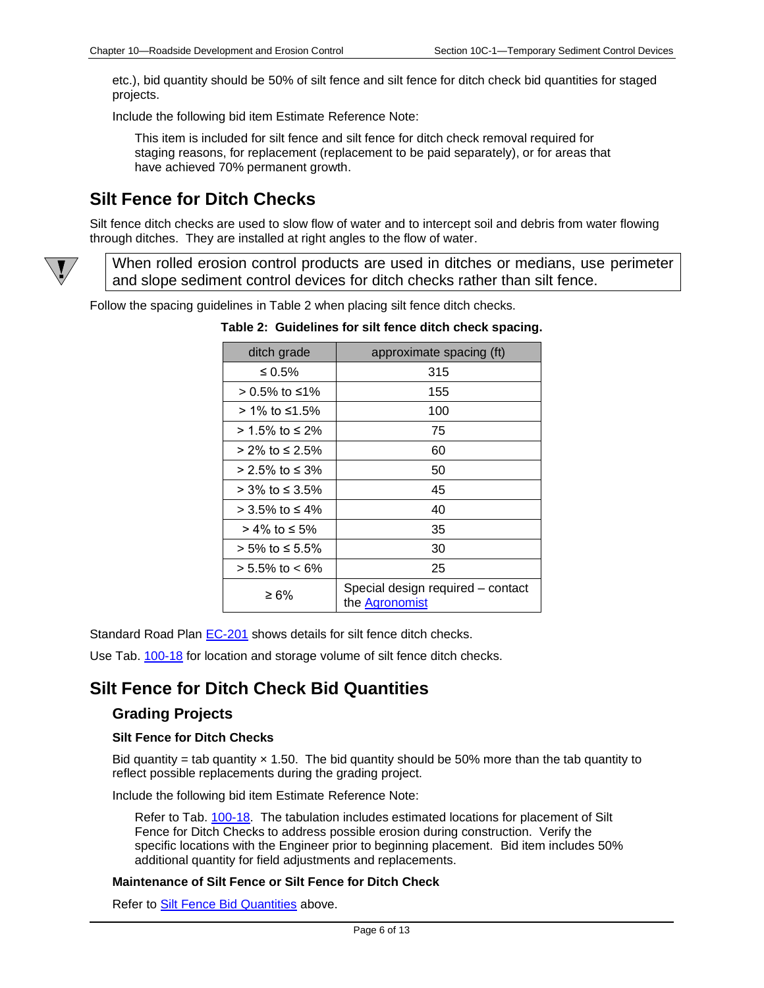etc.), bid quantity should be 50% of silt fence and silt fence for ditch check bid quantities for staged projects.

Include the following bid item Estimate Reference Note:

This item is included for silt fence and silt fence for ditch check removal required for staging reasons, for replacement (replacement to be paid separately), or for areas that have achieved 70% permanent growth.

# <span id="page-5-0"></span>**Silt Fence for Ditch Checks**

Silt fence ditch checks are used to slow flow of water and to intercept soil and debris from water flowing through ditches. They are installed at right angles to the flow of water.

When rolled erosion control products are used in ditches or medians, use perimeter and slope sediment control devices for ditch checks rather than silt fence.

Follow the spacing guidelines in Table 2 when placing silt fence ditch checks.

| ditch grade          | approximate spacing (ft)                            |
|----------------------|-----------------------------------------------------|
| ≤ 0.5%               | 315                                                 |
| > 0.5% to ≤1%        | 155                                                 |
| > 1% to ≤1.5%        | 100                                                 |
| > 1.5% to ≤ 2%       | 75                                                  |
| > 2% to ≤ 2.5%       | 60                                                  |
| $> 2.5\%$ to ≤ 3%    | 50                                                  |
| > 3% to ≤ 3.5%       | 45                                                  |
| > 3.5% to ≤ 4%       | 40                                                  |
| > 4% to ≤ 5%         | 35                                                  |
| > 5% to ≤ 5.5%       | 30                                                  |
| $> 5.5\%$ to $< 6\%$ | 25                                                  |
| ≥ 6%                 | Special design required - contact<br>the Agronomist |

**Table 2: Guidelines for silt fence ditch check spacing.**

Standard Road Plan [EC-201](../SRP/IndividualStandards/ec201.pdf) shows details for silt fence ditch checks.

Use Tab. [100-18](../tnt/PDFsandWebFiles/IndividualPDFs/0100-18.PDF) for location and storage volume of silt fence ditch checks.

# <span id="page-5-1"></span>**Silt Fence for Ditch Check Bid Quantities**

## **Grading Projects**

#### **Silt Fence for Ditch Checks**

Bid quantity = tab quantity  $\times$  1.50. The bid quantity should be 50% more than the tab quantity to reflect possible replacements during the grading project.

Include the following bid item Estimate Reference Note:

Refer to Tab. [100-18.](../tnt/PDFsandWebFiles/IndividualPDFs/0100-18.PDF) The tabulation includes estimated locations for placement of Silt Fence for Ditch Checks to address possible erosion during construction. Verify the specific locations with the Engineer prior to beginning placement. Bid item includes 50% additional quantity for field adjustments and replacements.

#### **Maintenance of Silt Fence or Silt Fence for Ditch Check**

Refer to [Silt Fence Bid Quantities](#page-3-0) above.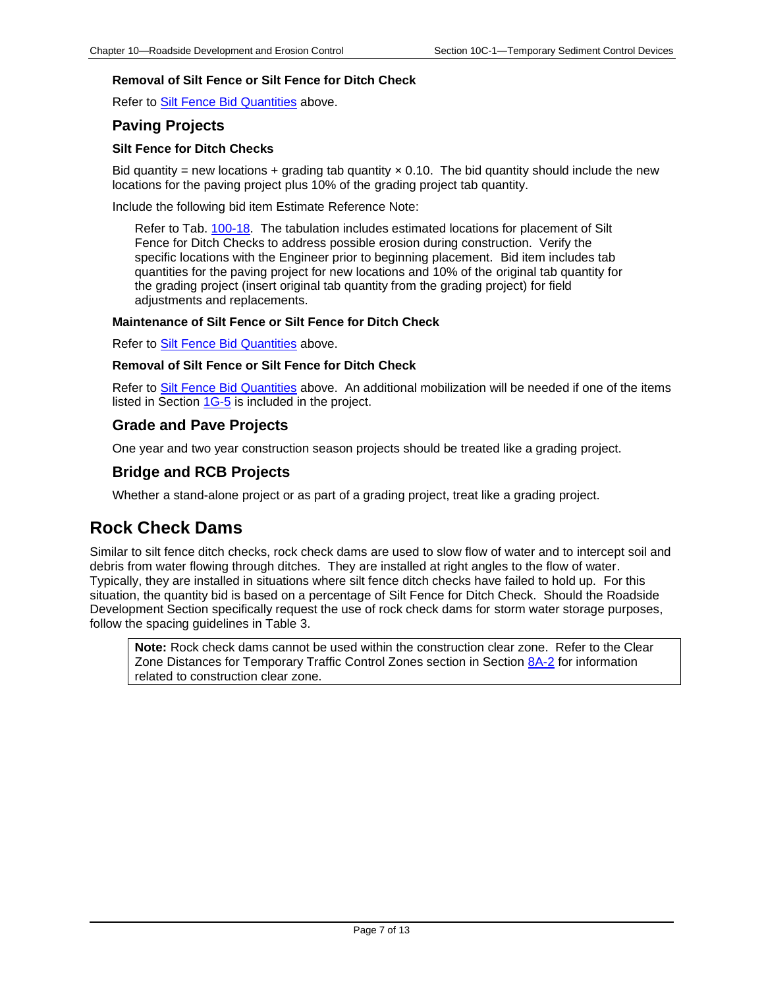## **Removal of Silt Fence or Silt Fence for Ditch Check**

Refer to [Silt Fence Bid Quantities](#page-3-0) above.

## **Paving Projects**

#### **Silt Fence for Ditch Checks**

Bid quantity = new locations + grading tab quantity  $\times$  0.10. The bid quantity should include the new locations for the paving project plus 10% of the grading project tab quantity.

Include the following bid item Estimate Reference Note:

Refer to Tab. [100-18.](../tnt/PDFsandWebFiles/IndividualPDFs/0100-18.PDF) The tabulation includes estimated locations for placement of Silt Fence for Ditch Checks to address possible erosion during construction. Verify the specific locations with the Engineer prior to beginning placement. Bid item includes tab quantities for the paving project for new locations and 10% of the original tab quantity for the grading project (insert original tab quantity from the grading project) for field adjustments and replacements.

## **Maintenance of Silt Fence or Silt Fence for Ditch Check**

Refer to **Silt Fence Bid Quantities** above.

#### **Removal of Silt Fence or Silt Fence for Ditch Check**

Refer to [Silt Fence Bid Quantities](#page-3-0) above. An additional mobilization will be needed if one of the items listed in Section [1G-5](01G-05.pdf) is included in the project.

## **Grade and Pave Projects**

One year and two year construction season projects should be treated like a grading project.

## **Bridge and RCB Projects**

Whether a stand-alone project or as part of a grading project, treat like a grading project.

# <span id="page-6-0"></span>**Rock Check Dams**

Similar to silt fence ditch checks, rock check dams are used to slow flow of water and to intercept soil and debris from water flowing through ditches. They are installed at right angles to the flow of water. Typically, they are installed in situations where silt fence ditch checks have failed to hold up. For this situation, the quantity bid is based on a percentage of Silt Fence for Ditch Check. Should the Roadside Development Section specifically request the use of rock check dams for storm water storage purposes, follow the spacing guidelines in Table 3.

**Note:** Rock check dams cannot be used within the construction clear zone. Refer to the Clear Zone Distances for Temporary Traffic Control Zones section in Section [8A-2](08A-02.pdf) for information related to construction clear zone.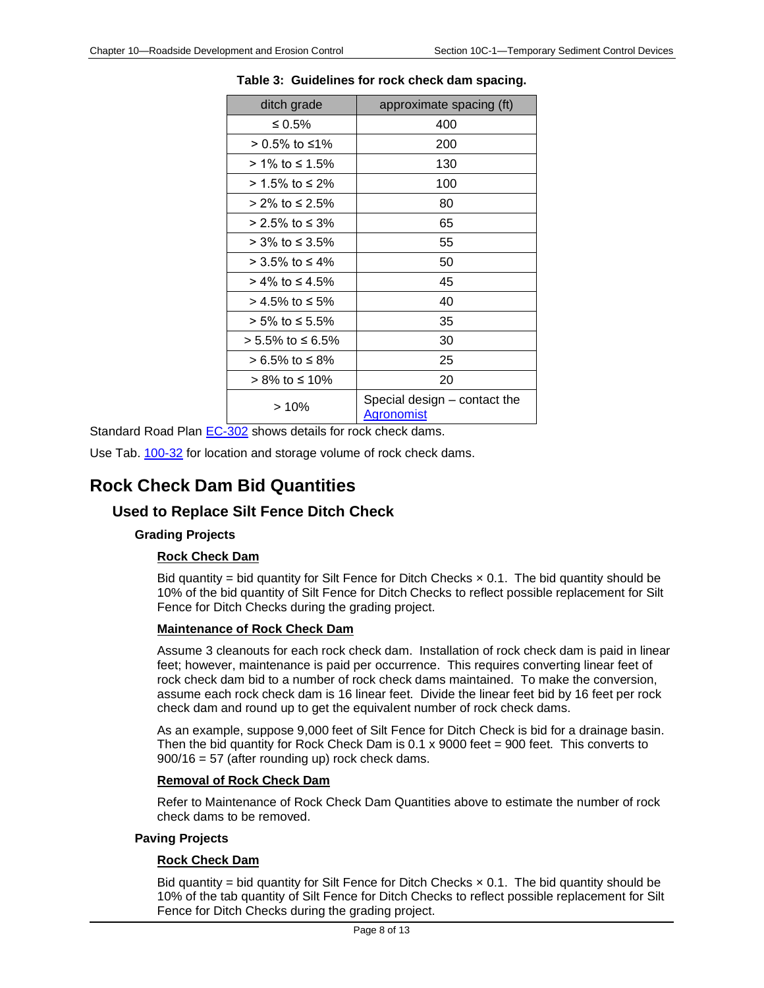| ditch grade      | approximate spacing (ft)                          |
|------------------|---------------------------------------------------|
| $\leq 0.5\%$     | 400                                               |
| $> 0.5\%$ to ≤1% | 200                                               |
| > 1% to ≤ 1.5%   | 130                                               |
| > 1.5% to ≤ 2%   | 100                                               |
| > 2% to ≤ 2.5%   | 80                                                |
| $>$ 2.5% to ≤ 3% | 65                                                |
| > 3% to ≤ 3.5%   | 55                                                |
| > 3.5% to ≤ 4%   | 50                                                |
| > 4% to ≤ 4.5%   | 45                                                |
| > 4.5% to ≤ 5%   | 40                                                |
| > 5% to ≤ 5.5%   | 35                                                |
| > 5.5% to ≤ 6.5% | 30                                                |
| > 6.5% to ≤ 8%   | 25                                                |
| > 8% to ≤ 10%    | 20                                                |
| > 10%            | Special design – contact the<br><u>Agronomist</u> |

**Table 3: Guidelines for rock check dam spacing.**

Standard Road Plan [EC-302](../SRP/IndividualStandards/ec302.pdf) shows details for rock check dams.

Use Tab. [100-32](../tnt/PDFsandWebFiles/IndividualPDFs/0100-32.PDF) for location and storage volume of rock check dams.

# <span id="page-7-0"></span>**Rock Check Dam Bid Quantities**

# **Used to Replace Silt Fence Ditch Check**

## **Grading Projects**

## **Rock Check Dam**

Bid quantity = bid quantity for Silt Fence for Ditch Checks  $\times$  0.1. The bid quantity should be 10% of the bid quantity of Silt Fence for Ditch Checks to reflect possible replacement for Silt Fence for Ditch Checks during the grading project.

#### **Maintenance of Rock Check Dam**

Assume 3 cleanouts for each rock check dam. Installation of rock check dam is paid in linear feet; however, maintenance is paid per occurrence. This requires converting linear feet of rock check dam bid to a number of rock check dams maintained. To make the conversion, assume each rock check dam is 16 linear feet. Divide the linear feet bid by 16 feet per rock check dam and round up to get the equivalent number of rock check dams.

As an example, suppose 9,000 feet of Silt Fence for Ditch Check is bid for a drainage basin. Then the bid quantity for Rock Check Dam is  $0.1 \times 9000$  feet = 900 feet. This converts to 900/16 = 57 (after rounding up) rock check dams.

#### **Removal of Rock Check Dam**

Refer to Maintenance of Rock Check Dam Quantities above to estimate the number of rock check dams to be removed.

#### **Paving Projects**

#### **Rock Check Dam**

Bid quantity = bid quantity for Silt Fence for Ditch Checks  $\times$  0.1. The bid quantity should be 10% of the tab quantity of Silt Fence for Ditch Checks to reflect possible replacement for Silt Fence for Ditch Checks during the grading project.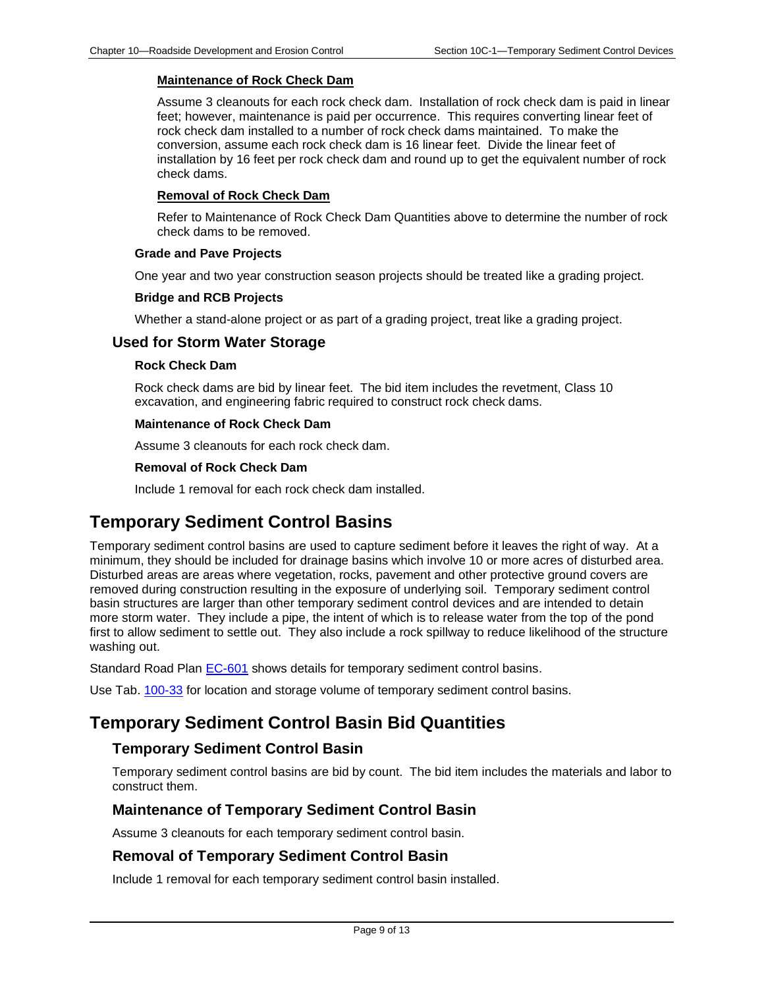#### **Maintenance of Rock Check Dam**

Assume 3 cleanouts for each rock check dam. Installation of rock check dam is paid in linear feet; however, maintenance is paid per occurrence. This requires converting linear feet of rock check dam installed to a number of rock check dams maintained. To make the conversion, assume each rock check dam is 16 linear feet. Divide the linear feet of installation by 16 feet per rock check dam and round up to get the equivalent number of rock check dams.

#### **Removal of Rock Check Dam**

Refer to Maintenance of Rock Check Dam Quantities above to determine the number of rock check dams to be removed.

#### **Grade and Pave Projects**

One year and two year construction season projects should be treated like a grading project.

#### **Bridge and RCB Projects**

Whether a stand-alone project or as part of a grading project, treat like a grading project.

## **Used for Storm Water Storage**

#### **Rock Check Dam**

Rock check dams are bid by linear feet. The bid item includes the revetment, Class 10 excavation, and engineering fabric required to construct rock check dams.

#### **Maintenance of Rock Check Dam**

Assume 3 cleanouts for each rock check dam.

#### **Removal of Rock Check Dam**

Include 1 removal for each rock check dam installed.

# <span id="page-8-0"></span>**Temporary Sediment Control Basins**

Temporary sediment control basins are used to capture sediment before it leaves the right of way. At a minimum, they should be included for drainage basins which involve 10 or more acres of disturbed area. Disturbed areas are areas where vegetation, rocks, pavement and other protective ground covers are removed during construction resulting in the exposure of underlying soil. Temporary sediment control basin structures are larger than other temporary sediment control devices and are intended to detain more storm water. They include a pipe, the intent of which is to release water from the top of the pond first to allow sediment to settle out. They also include a rock spillway to reduce likelihood of the structure washing out.

Standard Road Plan [EC-601](../SRP/IndividualStandards/ec601.pdf) shows details for temporary sediment control basins.

Use Tab. [100-33](../tnt/PDFsandWebFiles/IndividualPDFs/0100-33.PDF) for location and storage volume of temporary sediment control basins.

# <span id="page-8-1"></span>**Temporary Sediment Control Basin Bid Quantities**

# **Temporary Sediment Control Basin**

Temporary sediment control basins are bid by count. The bid item includes the materials and labor to construct them.

## **Maintenance of Temporary Sediment Control Basin**

Assume 3 cleanouts for each temporary sediment control basin.

## **Removal of Temporary Sediment Control Basin**

Include 1 removal for each temporary sediment control basin installed.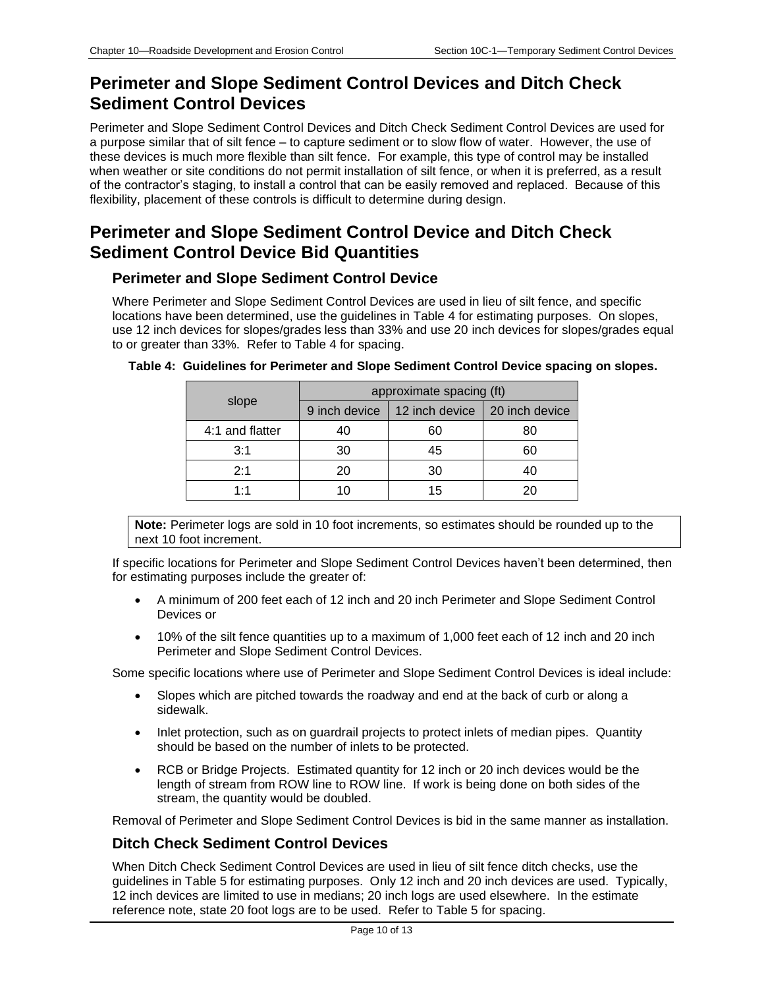# **Perimeter and Slope Sediment Control Devices and Ditch Check Sediment Control Devices**

Perimeter and Slope Sediment Control Devices and Ditch Check Sediment Control Devices are used for a purpose similar that of silt fence – to capture sediment or to slow flow of water. However, the use of these devices is much more flexible than silt fence. For example, this type of control may be installed when weather or site conditions do not permit installation of silt fence, or when it is preferred, as a result of the contractor's staging, to install a control that can be easily removed and replaced. Because of this flexibility, placement of these controls is difficult to determine during design.

# **Perimeter and Slope Sediment Control Device and Ditch Check Sediment Control Device Bid Quantities**

## **Perimeter and Slope Sediment Control Device**

Where Perimeter and Slope Sediment Control Devices are used in lieu of silt fence, and specific locations have been determined, use the guidelines in Table 4 for estimating purposes. On slopes, use 12 inch devices for slopes/grades less than 33% and use 20 inch devices for slopes/grades equal to or greater than 33%. Refer to Table 4 for spacing.

| slope           | approximate spacing (ft) |                                                 |    |  |
|-----------------|--------------------------|-------------------------------------------------|----|--|
|                 |                          | 9 inch device   12 inch device   20 inch device |    |  |
| 4:1 and flatter | 40                       | 60                                              | 80 |  |
| 3:1             | 30                       | 45                                              | 60 |  |
| 2:1             | 20                       | 30                                              | 40 |  |
| 1:1             | 1 ( )                    | 15                                              |    |  |

#### **Table 4: Guidelines for Perimeter and Slope Sediment Control Device spacing on slopes.**

**Note:** Perimeter logs are sold in 10 foot increments, so estimates should be rounded up to the next 10 foot increment.

If specific locations for Perimeter and Slope Sediment Control Devices haven't been determined, then for estimating purposes include the greater of:

- A minimum of 200 feet each of 12 inch and 20 inch Perimeter and Slope Sediment Control Devices or
- 10% of the silt fence quantities up to a maximum of 1,000 feet each of 12 inch and 20 inch Perimeter and Slope Sediment Control Devices.

Some specific locations where use of Perimeter and Slope Sediment Control Devices is ideal include:

- Slopes which are pitched towards the roadway and end at the back of curb or along a sidewalk.
- Inlet protection, such as on guardrail projects to protect inlets of median pipes. Quantity should be based on the number of inlets to be protected.
- RCB or Bridge Projects. Estimated quantity for 12 inch or 20 inch devices would be the length of stream from ROW line to ROW line. If work is being done on both sides of the stream, the quantity would be doubled.

Removal of Perimeter and Slope Sediment Control Devices is bid in the same manner as installation.

# **Ditch Check Sediment Control Devices**

When Ditch Check Sediment Control Devices are used in lieu of silt fence ditch checks, use the guidelines in Table 5 for estimating purposes. Only 12 inch and 20 inch devices are used. Typically, 12 inch devices are limited to use in medians; 20 inch logs are used elsewhere. In the estimate reference note, state 20 foot logs are to be used. Refer to Table 5 for spacing.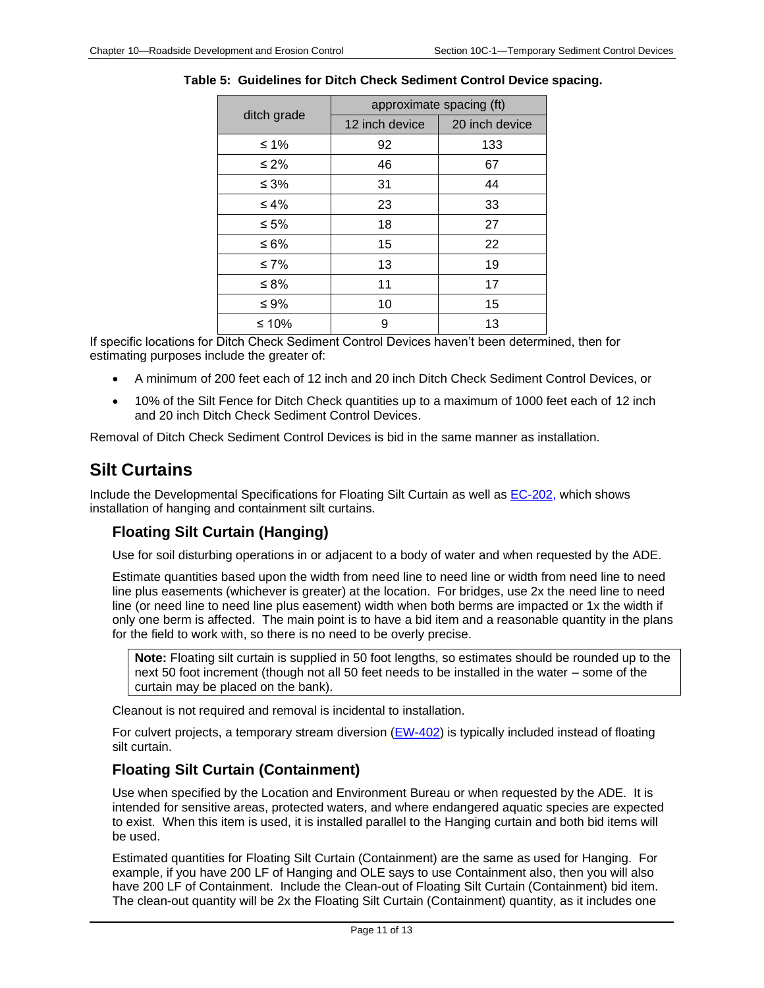| ditch grade | approximate spacing (ft) |                |  |
|-------------|--------------------------|----------------|--|
|             | 12 inch device           | 20 inch device |  |
| ≤ 1%        | 92                       | 133            |  |
| $\leq 2\%$  | 46                       | 67             |  |
| $\leq 3\%$  | 31                       | 44             |  |
| $\leq 4\%$  | 23                       | 33             |  |
| ≤ 5%        | 18                       | 27             |  |
| ≤ 6%        | 15                       | 22             |  |
| $\leq 7\%$  | 13                       | 19             |  |
| ≤ 8%        | 11                       | 17             |  |
| ≤ 9%        | 10                       | 15             |  |
| ≤ 10%       | 9                        | 13             |  |

### **Table 5: Guidelines for Ditch Check Sediment Control Device spacing.**

If specific locations for Ditch Check Sediment Control Devices haven't been determined, then for estimating purposes include the greater of:

- A minimum of 200 feet each of 12 inch and 20 inch Ditch Check Sediment Control Devices, or
- 10% of the Silt Fence for Ditch Check quantities up to a maximum of 1000 feet each of 12 inch and 20 inch Ditch Check Sediment Control Devices.

Removal of Ditch Check Sediment Control Devices is bid in the same manner as installation.

# <span id="page-10-0"></span>**Silt Curtains**

Include the Developmental Specifications for Floating Silt Curtain as well as **EC-202**, which shows installation of hanging and containment silt curtains.

# **Floating Silt Curtain (Hanging)**

Use for soil disturbing operations in or adjacent to a body of water and when requested by the ADE.

Estimate quantities based upon the width from need line to need line or width from need line to need line plus easements (whichever is greater) at the location. For bridges, use 2x the need line to need line (or need line to need line plus easement) width when both berms are impacted or 1x the width if only one berm is affected. The main point is to have a bid item and a reasonable quantity in the plans for the field to work with, so there is no need to be overly precise.

**Note:** Floating silt curtain is supplied in 50 foot lengths, so estimates should be rounded up to the next 50 foot increment (though not all 50 feet needs to be installed in the water – some of the curtain may be placed on the bank).

Cleanout is not required and removal is incidental to installation.

For culvert projects, a temporary stream diversion ( $EW-402$ ) is typically included instead of floating silt curtain.

# **Floating Silt Curtain (Containment)**

Use when specified by the Location and Environment Bureau or when requested by the ADE. It is intended for sensitive areas, protected waters, and where endangered aquatic species are expected to exist. When this item is used, it is installed parallel to the Hanging curtain and both bid items will be used.

Estimated quantities for Floating Silt Curtain (Containment) are the same as used for Hanging. For example, if you have 200 LF of Hanging and OLE says to use Containment also, then you will also have 200 LF of Containment. Include the Clean-out of Floating Silt Curtain (Containment) bid item. The clean-out quantity will be 2x the Floating Silt Curtain (Containment) quantity, as it includes one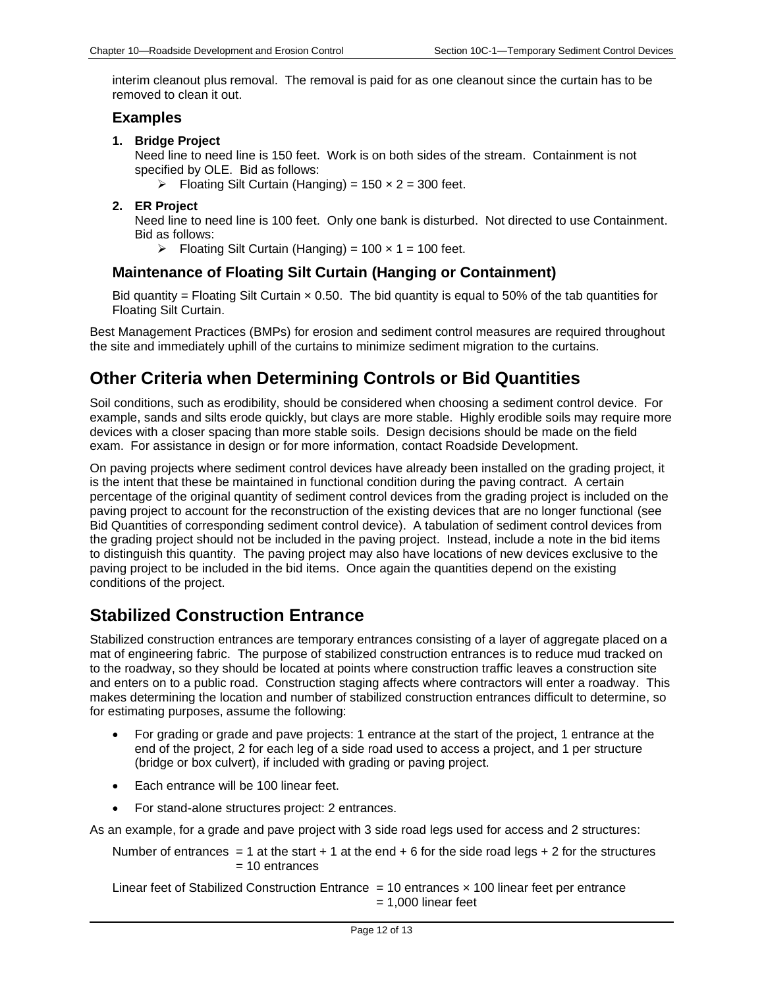interim cleanout plus removal. The removal is paid for as one cleanout since the curtain has to be removed to clean it out.

## **Examples**

### **1. Bridge Project**

Need line to need line is 150 feet. Work is on both sides of the stream. Containment is not specified by OLE. Bid as follows:

- $\triangleright$  Floating Silt Curtain (Hanging) = 150 x 2 = 300 feet.
- **2. ER Project**

Need line to need line is 100 feet. Only one bank is disturbed. Not directed to use Containment. Bid as follows:

 $\triangleright$  Floating Silt Curtain (Hanging) = 100 x 1 = 100 feet.

# **Maintenance of Floating Silt Curtain (Hanging or Containment)**

Bid quantity = Floating Silt Curtain  $\times$  0.50. The bid quantity is equal to 50% of the tab quantities for Floating Silt Curtain.

Best Management Practices (BMPs) for erosion and sediment control measures are required throughout the site and immediately uphill of the curtains to minimize sediment migration to the curtains.

# **Other Criteria when Determining Controls or Bid Quantities**

Soil conditions, such as erodibility, should be considered when choosing a sediment control device. For example, sands and silts erode quickly, but clays are more stable. Highly erodible soils may require more devices with a closer spacing than more stable soils. Design decisions should be made on the field exam. For assistance in design or for more information, contact Roadside Development.

On paving projects where sediment control devices have already been installed on the grading project, it is the intent that these be maintained in functional condition during the paving contract. A certain percentage of the original quantity of sediment control devices from the grading project is included on the paving project to account for the reconstruction of the existing devices that are no longer functional (see Bid Quantities of corresponding sediment control device). A tabulation of sediment control devices from the grading project should not be included in the paving project. Instead, include a note in the bid items to distinguish this quantity. The paving project may also have locations of new devices exclusive to the paving project to be included in the bid items. Once again the quantities depend on the existing conditions of the project.

# <span id="page-11-0"></span>**Stabilized Construction Entrance**

Stabilized construction entrances are temporary entrances consisting of a layer of aggregate placed on a mat of engineering fabric. The purpose of stabilized construction entrances is to reduce mud tracked on to the roadway, so they should be located at points where construction traffic leaves a construction site and enters on to a public road. Construction staging affects where contractors will enter a roadway. This makes determining the location and number of stabilized construction entrances difficult to determine, so for estimating purposes, assume the following:

- For grading or grade and pave projects: 1 entrance at the start of the project, 1 entrance at the end of the project, 2 for each leg of a side road used to access a project, and 1 per structure (bridge or box culvert), if included with grading or paving project.
- Each entrance will be 100 linear feet.
- For stand-alone structures project: 2 entrances.

As an example, for a grade and pave project with 3 side road legs used for access and 2 structures:

Number of entrances  $= 1$  at the start  $+ 1$  at the end  $+ 6$  for the side road legs  $+ 2$  for the structures  $= 10$  entrances

Linear feet of Stabilized Construction Entrance  $= 10$  entrances  $\times$  100 linear feet per entrance  $= 1,000$  linear feet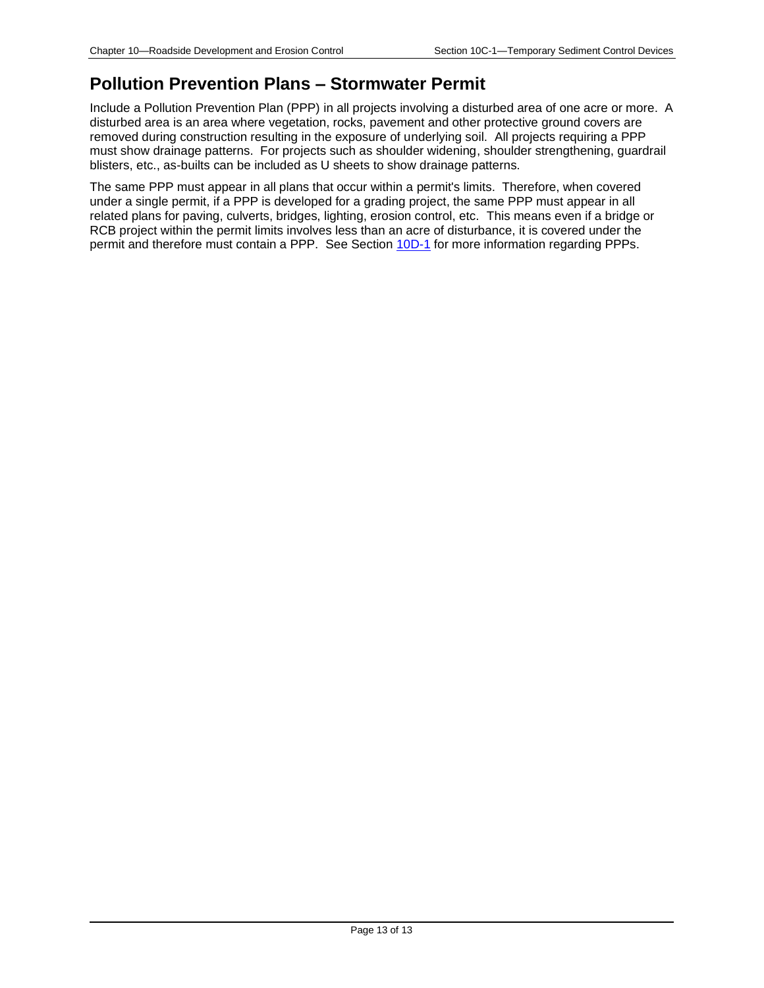# **Pollution Prevention Plans – Stormwater Permit**

Include a Pollution Prevention Plan (PPP) in all projects involving a disturbed area of one acre or more. A disturbed area is an area where vegetation, rocks, pavement and other protective ground covers are removed during construction resulting in the exposure of underlying soil. All projects requiring a PPP must show drainage patterns. For projects such as shoulder widening, shoulder strengthening, guardrail blisters, etc., as-builts can be included as U sheets to show drainage patterns.

The same PPP must appear in all plans that occur within a permit's limits. Therefore, when covered under a single permit, if a PPP is developed for a grading project, the same PPP must appear in all related plans for paving, culverts, bridges, lighting, erosion control, etc. This means even if a bridge or RCB project within the permit limits involves less than an acre of disturbance, it is covered under the permit and therefore must contain a PPP. See Section [10D-1](10d-01.pdf) for more information regarding PPPs.